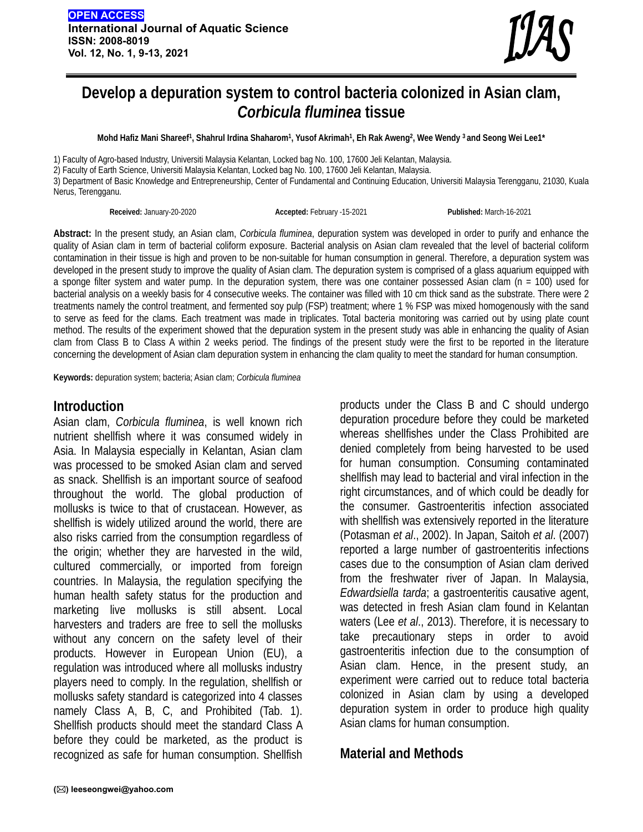

# **Develop a depuration system to control bacteria colonized in Asian clam,**  *Corbicula fluminea* **tissue**

**Mohd Hafiz Mani Shareef1, Shahrul Irdina Shaharom1, Yusof Akrimah1, Eh Rak Aweng2, Wee Wendy 3 and Seong Wei Lee1\*** 

1) Faculty of Agro-based Industry, Universiti Malaysia Kelantan, Locked bag No. 100, 17600 Jeli Kelantan, Malaysia.

2) Faculty of Earth Science, Universiti Malaysia Kelantan, Locked bag No. 100, 17600 Jeli Kelantan, Malaysia.

3) Department of Basic Knowledge and Entrepreneurship, Center of Fundamental and Continuing Education, Universiti Malaysia Terengganu, 21030, Kuala Nerus, Terengganu.

**Received:** January-20-2020 **Accepted:** February -15-2021 **Published:** March-16-2021

**Abstract:** In the present study, an Asian clam, *Corbicula fluminea*, depuration system was developed in order to purify and enhance the quality of Asian clam in term of bacterial coliform exposure. Bacterial analysis on Asian clam revealed that the level of bacterial coliform contamination in their tissue is high and proven to be non-suitable for human consumption in general. Therefore, a depuration system was developed in the present study to improve the quality of Asian clam. The depuration system is comprised of a glass aquarium equipped with a sponge filter system and water pump. In the depuration system, there was one container possessed Asian clam (n = 100) used for bacterial analysis on a weekly basis for 4 consecutive weeks. The container was filled with 10 cm thick sand as the substrate. There were 2 treatments namely the control treatment, and fermented soy pulp (FSP) treatment; where 1 % FSP was mixed homogenously with the sand to serve as feed for the clams. Each treatment was made in triplicates. Total bacteria monitoring was carried out by using plate count method. The results of the experiment showed that the depuration system in the present study was able in enhancing the quality of Asian clam from Class B to Class A within 2 weeks period. The findings of the present study were the first to be reported in the literature concerning the development of Asian clam depuration system in enhancing the clam quality to meet the standard for human consumption.

**Keywords:** depuration system; bacteria; Asian clam; *Corbicula fluminea* 

## **Introduction**

Asian clam, *Corbicula fluminea*, is well known rich nutrient shellfish where it was consumed widely in Asia. In Malaysia especially in Kelantan, Asian clam was processed to be smoked Asian clam and served as snack. Shellfish is an important source of seafood throughout the world. The global production of mollusks is twice to that of crustacean. However, as shellfish is widely utilized around the world, there are also risks carried from the consumption regardless of the origin; whether they are harvested in the wild, cultured commercially, or imported from foreign countries. In Malaysia, the regulation specifying the human health safety status for the production and marketing live mollusks is still absent. Local harvesters and traders are free to sell the mollusks without any concern on the safety level of their products. However in European Union (EU), a regulation was introduced where all mollusks industry players need to comply. In the regulation, shellfish or mollusks safety standard is categorized into 4 classes namely Class A, B, C, and Prohibited (Tab. 1). Shellfish products should meet the standard Class A before they could be marketed, as the product is recognized as safe for human consumption. Shellfish

products under the Class B and C should undergo depuration procedure before they could be marketed whereas shellfishes under the Class Prohibited are denied completely from being harvested to be used for human consumption. Consuming contaminated shellfish may lead to bacterial and viral infection in the right circumstances, and of which could be deadly for the consumer. Gastroenteritis infection associated with shellfish was extensively reported in the literature (Potasman *et al*., 2002). In Japan, Saitoh *et al*. (2007) reported a large number of gastroenteritis infections cases due to the consumption of Asian clam derived from the freshwater river of Japan. In Malaysia, *Edwardsiella tarda*; a gastroenteritis causative agent, was detected in fresh Asian clam found in Kelantan waters (Lee *et al*., 2013). Therefore, it is necessary to take precautionary steps in order to avoid gastroenteritis infection due to the consumption of Asian clam. Hence, in the present study, an experiment were carried out to reduce total bacteria colonized in Asian clam by using a developed depuration system in order to produce high quality Asian clams for human consumption.

## **Material and Methods**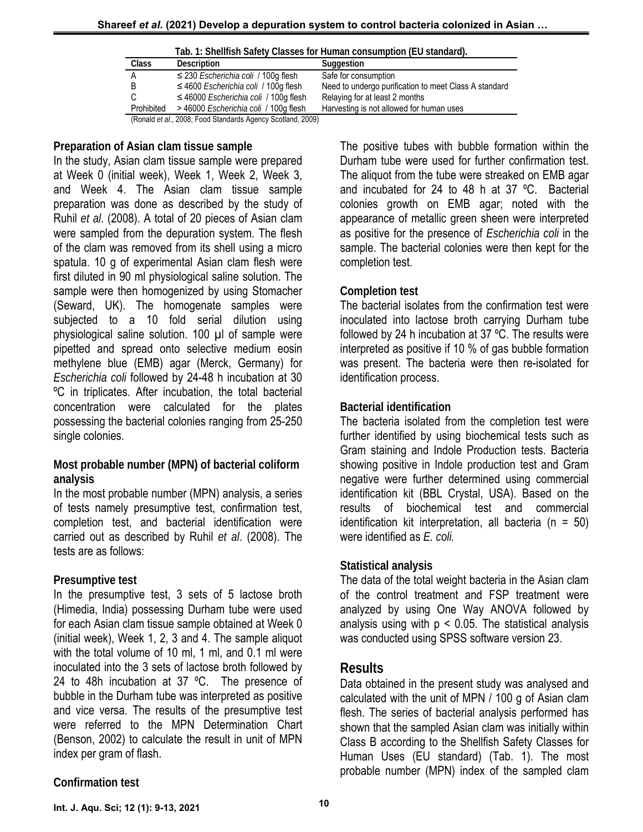| Class      | <b>Description</b>                                | Suggestion                                            |
|------------|---------------------------------------------------|-------------------------------------------------------|
| А          | $\leq$ 230 <i>Escherichia coli</i> / 100g flesh   | Safe for consumption                                  |
| B          | $\leq$ 4600 <i>Escherichia coli</i> / 100g flesh  | Need to undergo purification to meet Class A standard |
| С          | $\leq$ 46000 <i>Escherichia coli</i> / 100q flesh | Relaying for at least 2 months                        |
| Prohibited | > 46000 <i>Escherichia coli</i> / 100g flesh      | Harvesting is not allowed for human uses              |

**Tab. 1: Shellfish Safety Classes for Human consumption (EU standard).** 

#### **Preparation of Asian clam tissue sample**

In the study, Asian clam tissue sample were prepared at Week 0 (initial week), Week 1, Week 2, Week 3, and Week 4. The Asian clam tissue sample preparation was done as described by the study of Ruhil *et al*. (2008). A total of 20 pieces of Asian clam were sampled from the depuration system. The flesh of the clam was removed from its shell using a micro spatula. 10 g of experimental Asian clam flesh were first diluted in 90 ml physiological saline solution. The sample were then homogenized by using Stomacher (Seward, UK). The homogenate samples were subjected to a 10 fold serial dilution using physiological saline solution. 100 µl of sample were pipetted and spread onto selective medium eosin methylene blue (EMB) agar (Merck, Germany) for *Escherichia coli* followed by 24-48 h incubation at 30 ºC in triplicates. After incubation, the total bacterial concentration were calculated for the plates possessing the bacterial colonies ranging from 25-250 single colonies.

#### **Most probable number (MPN) of bacterial coliform analysis**

In the most probable number (MPN) analysis, a series of tests namely presumptive test, confirmation test, completion test, and bacterial identification were carried out as described by Ruhil *et al*. (2008). The tests are as follows:

#### **Presumptive test**

In the presumptive test, 3 sets of 5 lactose broth (Himedia, India) possessing Durham tube were used for each Asian clam tissue sample obtained at Week 0 (initial week), Week 1, 2, 3 and 4. The sample aliquot with the total volume of 10 ml, 1 ml, and 0.1 ml were inoculated into the 3 sets of lactose broth followed by 24 to 48h incubation at 37 °C. The presence of bubble in the Durham tube was interpreted as positive and vice versa. The results of the presumptive test were referred to the MPN Determination Chart (Benson, 2002) to calculate the result in unit of MPN index per gram of flash.

The positive tubes with bubble formation within the Durham tube were used for further confirmation test. The aliquot from the tube were streaked on EMB agar and incubated for 24 to 48 h at 37 ºC. Bacterial colonies growth on EMB agar; noted with the appearance of metallic green sheen were interpreted as positive for the presence of *Escherichia coli* in the sample. The bacterial colonies were then kept for the completion test.

#### **Completion test**

The bacterial isolates from the confirmation test were inoculated into lactose broth carrying Durham tube followed by 24 h incubation at 37 ºC. The results were interpreted as positive if 10 % of gas bubble formation was present. The bacteria were then re-isolated for identification process.

## **Bacterial identification**

The bacteria isolated from the completion test were further identified by using biochemical tests such as Gram staining and Indole Production tests. Bacteria showing positive in Indole production test and Gram negative were further determined using commercial identification kit (BBL Crystal, USA). Based on the results of biochemical test and commercial identification kit interpretation, all bacteria ( $n = 50$ ) were identified as *E. coli.* 

#### **Statistical analysis**

The data of the total weight bacteria in the Asian clam of the control treatment and FSP treatment were analyzed by using One Way ANOVA followed by analysis using with  $p < 0.05$ . The statistical analysis was conducted using SPSS software version 23.

## **Results**

Data obtained in the present study was analysed and calculated with the unit of MPN / 100 g of Asian clam flesh. The series of bacterial analysis performed has shown that the sampled Asian clam was initially within Class B according to the Shellfish Safety Classes for Human Uses (EU standard) (Tab. 1). The most probable number (MPN) index of the sampled clam

## **Confirmation test**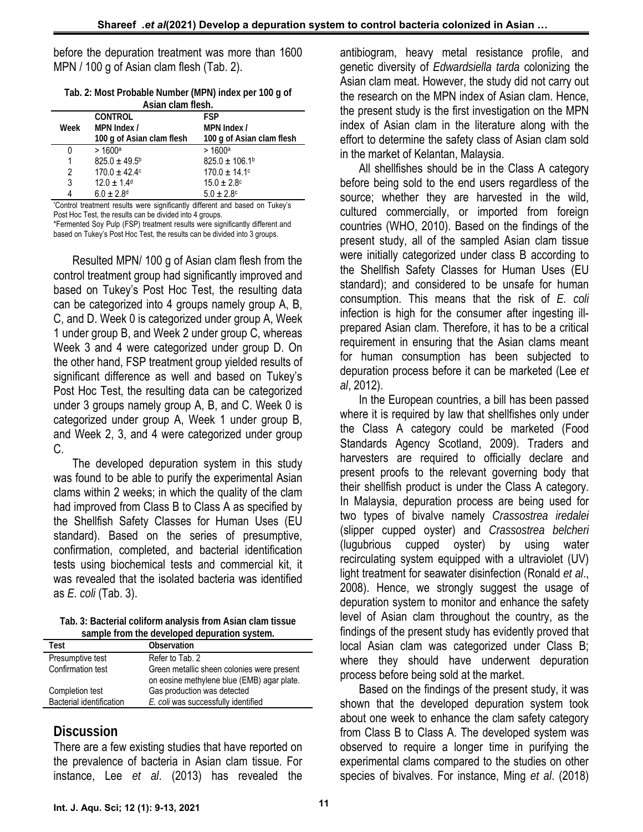before the depuration treatment was more than 1600 MPN / 100 g of Asian clam flesh (Tab. 2).

| Tab. 2: Most Probable Number (MPN) index per 100 g of |
|-------------------------------------------------------|
| Asian clam flesh.                                     |

|      | <b>CONTROL</b>              | <b>FSP</b>                    |
|------|-----------------------------|-------------------------------|
| Week | MPN Index /                 | MPN Index /                   |
|      | 100 g of Asian clam flesh   | 100 g of Asian clam flesh     |
|      | > 1600a                     | > 1600a                       |
| 1    | $825.0 \pm 49.5^{\circ}$    | $825.0 \pm 106.1^{\circ}$     |
| 2    | $170.0 \pm 42.4$            | $170.0 \pm 14.1$ <sup>c</sup> |
| 3    | $12.0 \pm 1.4$ <sup>d</sup> | $15.0 \pm 2.8$ <sup>c</sup>   |
|      | $6.0 \pm 2.8$ <sup>d</sup>  | $5.0 \pm 2.8$ c               |
|      |                             |                               |

\* Control treatment results were significantly different and based on Tukey's Post Hoc Test, the results can be divided into 4 groups. \*Fermented Soy Pulp (FSP) treatment results were significantly different and

based on Tukey's Post Hoc Test, the results can be divided into 3 groups.

Resulted MPN/ 100 g of Asian clam flesh from the control treatment group had significantly improved and based on Tukey's Post Hoc Test, the resulting data can be categorized into 4 groups namely group A, B, C, and D. Week 0 is categorized under group A, Week 1 under group B, and Week 2 under group C, whereas Week 3 and 4 were categorized under group D. On the other hand, FSP treatment group yielded results of significant difference as well and based on Tukey's Post Hoc Test, the resulting data can be categorized under 3 groups namely group A, B, and C. Week 0 is categorized under group A, Week 1 under group B, and Week 2, 3, and 4 were categorized under group C.

The developed depuration system in this study was found to be able to purify the experimental Asian clams within 2 weeks; in which the quality of the clam had improved from Class B to Class A as specified by the Shellfish Safety Classes for Human Uses (EU standard). Based on the series of presumptive, confirmation, completed, and bacterial identification tests using biochemical tests and commercial kit, it was revealed that the isolated bacteria was identified as *E. coli* (Tab. 3).

**Tab. 3: Bacterial coliform analysis from Asian clam tissue sample from the developed depuration system.** 

| Test                     | Observation                                                                              |  |  |
|--------------------------|------------------------------------------------------------------------------------------|--|--|
| Presumptive test         | Refer to Tab. 2                                                                          |  |  |
| Confirmation test        | Green metallic sheen colonies were present<br>on eosine methylene blue (EMB) agar plate. |  |  |
| Completion test          | Gas production was detected                                                              |  |  |
| Bacterial identification | E. coli was successfully identified                                                      |  |  |
|                          |                                                                                          |  |  |

## **Discussion**

There are a few existing studies that have reported on the prevalence of bacteria in Asian clam tissue. For instance, Lee *et al*. (2013) has revealed the

antibiogram, heavy metal resistance profile, and genetic diversity of *Edwardsiella tarda* colonizing the Asian clam meat. However, the study did not carry out the research on the MPN index of Asian clam. Hence, the present study is the first investigation on the MPN index of Asian clam in the literature along with the effort to determine the safety class of Asian clam sold in the market of Kelantan, Malaysia.

All shellfishes should be in the Class A category before being sold to the end users regardless of the source; whether they are harvested in the wild, cultured commercially, or imported from foreign countries (WHO, 2010). Based on the findings of the present study, all of the sampled Asian clam tissue were initially categorized under class B according to the Shellfish Safety Classes for Human Uses (EU standard); and considered to be unsafe for human consumption. This means that the risk of *E. coli* infection is high for the consumer after ingesting illprepared Asian clam. Therefore, it has to be a critical requirement in ensuring that the Asian clams meant for human consumption has been subjected to depuration process before it can be marketed (Lee *et al*, 2012).

In the European countries, a bill has been passed where it is required by law that shellfishes only under the Class A category could be marketed (Food Standards Agency Scotland, 2009). Traders and harvesters are required to officially declare and present proofs to the relevant governing body that their shellfish product is under the Class A category. In Malaysia, depuration process are being used for two types of bivalve namely *Crassostrea iredalei*  (slipper cupped oyster) and *Crassostrea belcheri*  (lugubrious cupped oyster) by using water recirculating system equipped with a ultraviolet (UV) light treatment for seawater disinfection (Ronald *et al*., 2008). Hence, we strongly suggest the usage of depuration system to monitor and enhance the safety level of Asian clam throughout the country, as the findings of the present study has evidently proved that local Asian clam was categorized under Class B; where they should have underwent depuration process before being sold at the market.

Based on the findings of the present study, it was shown that the developed depuration system took about one week to enhance the clam safety category from Class B to Class A. The developed system was observed to require a longer time in purifying the experimental clams compared to the studies on other species of bivalves. For instance, Ming *et al*. (2018)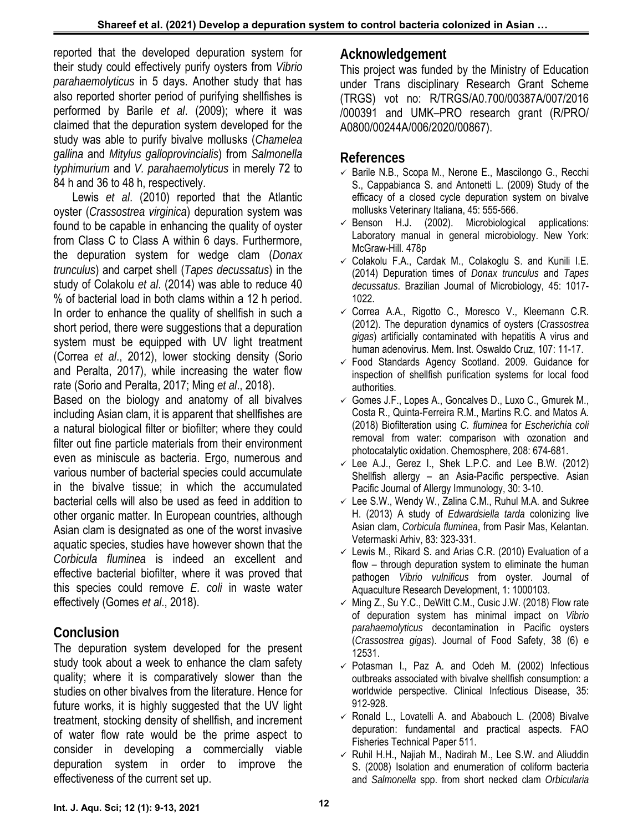reported that the developed depuration system for their study could effectively purify oysters from *Vibrio parahaemolyticus* in 5 days. Another study that has also reported shorter period of purifying shellfishes is performed by Barile *et al*. (2009); where it was claimed that the depuration system developed for the study was able to purify bivalve mollusks (*Chamelea gallina* and *Mitylus galloprovincialis*) from *Salmonella typhimurium* and *V. parahaemolyticus* in merely 72 to 84 h and 36 to 48 h, respectively.

Lewis *et al*. (2010) reported that the Atlantic oyster (*Crassostrea virginica*) depuration system was found to be capable in enhancing the quality of oyster from Class C to Class A within 6 days. Furthermore, the depuration system for wedge clam (*Donax trunculus*) and carpet shell (*Tapes decussatus*) in the study of Colakolu *et al*. (2014) was able to reduce 40 % of bacterial load in both clams within a 12 h period. In order to enhance the quality of shellfish in such a short period, there were suggestions that a depuration system must be equipped with UV light treatment (Correa *et al*., 2012), lower stocking density (Sorio and Peralta, 2017), while increasing the water flow rate (Sorio and Peralta, 2017; Ming *et al*., 2018).

Based on the biology and anatomy of all bivalves including Asian clam, it is apparent that shellfishes are a natural biological filter or biofilter; where they could filter out fine particle materials from their environment even as miniscule as bacteria. Ergo, numerous and various number of bacterial species could accumulate in the bivalve tissue; in which the accumulated bacterial cells will also be used as feed in addition to other organic matter. In European countries, although Asian clam is designated as one of the worst invasive aquatic species, studies have however shown that the *Corbicula fluminea* is indeed an excellent and effective bacterial biofilter, where it was proved that this species could remove *E. coli* in waste water effectively (Gomes *et al*., 2018).

## **Conclusion**

The depuration system developed for the present study took about a week to enhance the clam safety quality; where it is comparatively slower than the studies on other bivalves from the literature. Hence for future works, it is highly suggested that the UV light treatment, stocking density of shellfish, and increment of water flow rate would be the prime aspect to consider in developing a commercially viable depuration system in order to improve the effectiveness of the current set up.

## **Acknowledgement**

This project was funded by the Ministry of Education under Trans disciplinary Research Grant Scheme (TRGS) vot no: R/TRGS/A0.700/00387A/007/2016 /000391 and UMK–PRO research grant (R/PRO/ A0800/00244A/006/2020/00867).

## **References**

- $\checkmark$  Barile N.B., Scopa M., Nerone E., Mascilongo G., Recchi S., Cappabianca S. and Antonetti L. (2009) Study of the efficacy of a closed cycle depuration system on bivalve mollusks Veterinary Italiana, 45: 555-566.
- $\checkmark$  Benson H.J. (2002). Microbiological applications: Laboratory manual in general microbiology. New York: McGraw-Hill. 478p
- $\checkmark$  Colakolu F.A., Cardak M., Colakoglu S. and Kunili I.E. (2014) Depuration times of *Donax trunculus* and *Tapes decussatus*. Brazilian Journal of Microbiology, 45: 1017- 1022.
- $\checkmark$  Correa A.A., Rigotto C., Moresco V., Kleemann C.R. (2012). The depuration dynamics of oysters (*Crassostrea gigas*) artificially contaminated with hepatitis A virus and human adenovirus. Mem. Inst. Oswaldo Cruz, 107: 11-17.
- $\checkmark$  Food Standards Agency Scotland. 2009. Guidance for inspection of shellfish purification systems for local food authorities.
- $\checkmark$  Gomes J.F., Lopes A., Goncalves D., Luxo C., Gmurek M., Costa R., Quinta-Ferreira R.M., Martins R.C. and Matos A. (2018) Biofilteration using *C. fluminea* for *Escherichia coli* removal from water: comparison with ozonation and photocatalytic oxidation. Chemosphere, 208: 674-681.
- $\checkmark$  Lee A.J., Gerez I., Shek L.P.C. and Lee B.W. (2012) Shellfish allergy – an Asia-Pacific perspective. Asian Pacific Journal of Allergy Immunology, 30: 3-10.
- $\checkmark$  Lee S.W., Wendy W., Zalina C.M., Ruhul M.A. and Sukree H. (2013) A study of *Edwardsiella tarda* colonizing live Asian clam, *Corbicula fluminea*, from Pasir Mas, Kelantan. Vetermaski Arhiv, 83: 323-331.
- $\checkmark$  Lewis M., Rikard S. and Arias C.R. (2010) Evaluation of a flow – through depuration system to eliminate the human pathogen *Vibrio vulnificus* from oyster. Journal of Aquaculture Research Development, 1: 1000103.
- $\checkmark$  Ming Z., Su Y.C., DeWitt C.M., Cusic J.W. (2018) Flow rate of depuration system has minimal impact on *Vibrio parahaemolyticus* decontamination in Pacific oysters (*Crassostrea gigas*). Journal of Food Safety, 38 (6) e 12531.
- $\checkmark$  Potasman I., Paz A. and Odeh M. (2002) Infectious outbreaks associated with bivalve shellfish consumption: a worldwide perspective. Clinical Infectious Disease, 35: 912-928.
- $\checkmark$  Ronald L., Lovatelli A. and Ababouch L. (2008) Bivalve depuration: fundamental and practical aspects. FAO Fisheries Technical Paper 511.
- $\checkmark$  Ruhil H.H., Najiah M., Nadirah M., Lee S.W. and Aliuddin S. (2008) Isolation and enumeration of coliform bacteria and *Salmonella* spp. from short necked clam *Orbicularia*